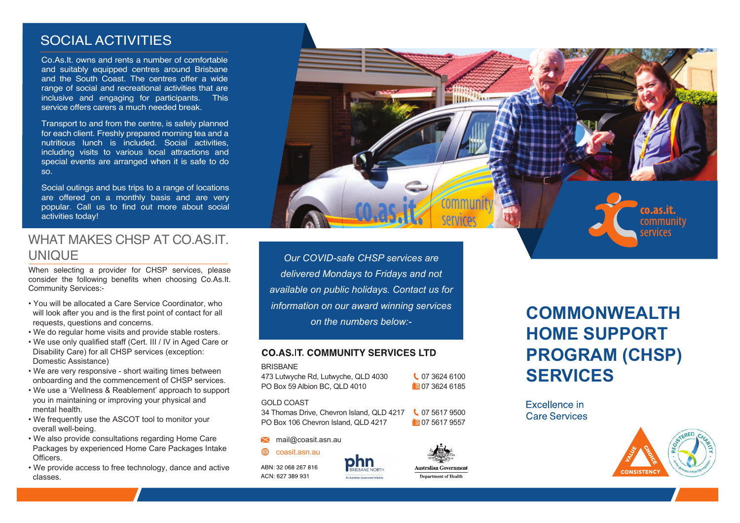# SOCIAL ACTIVITIES

Co.As.It. owns and rents a number of comfortable and suitably equipped centres around Brisbane and the South Coast. The centres offer a wide range of social and recreational activities that are inclusive and engaging for participants. This service offers carers a much needed break.

Transport to and from the centre, is safely planned for each client. Freshly prepared morning tea and a nutritious lunch is included. Social activities, including visits to various local attractions and special events are arranged when it is safe to do so.

Social outings and bus trips to a range of locations are offered on a monthly basis and are very popular. Call us to find out more about social activities today!

# co.as.it community services

# WHAT MAKES CHSP AT CO AS IT. UNIQUE

When selecting a provider for CHSP services, please consider the following benefits when choosing Co.As.It. Community Services:-

- You will be allocated a Care Service Coordinator, who will look after you and is the first point of contact for all requests, questions and concerns.
- We do regular home visits and provide stable rosters.
- We use only qualified staff (Cert. III / IV in Aged Care or Disability Care) for all CHSP services (exception: Domestic Assistance)
- We are very responsive short waiting times between onboarding and the commencement of CHSP services.
- We use a 'Wellness & Reablement' approach to support you in maintaining or improving your physical and mental health.
- We frequently use the ASCOT tool to monitor your overall well-being.
- We also provide consultations regarding Home Care Packages by experienced Home Care Packages Intake Officers.
- We provide access to free technology, dance and active classes.

*Our COVID-safe CHSP services are delivered Mondays to Fridays and not available on public holidays. Contact us for information on our award winning services on the numbers below:-*

#### CO AS IT COMMUNITY SERVICES LTD

#### **BRISBANE**

473 Lutwyche Rd, Lutwyche, QLD 4030 **473 Lutwyche Rd**, Lutwyche, QLD 4030 PO Box 59 Albion BC, QLD 4010 **07 3624 6185** 

#### GOLD COAST

34 Thomas Drive, Chevron Island, QLD 4217 \ 07 5617 9500 PO Box 106 Chevron Island, QLD 4217 **16 07 5617 9557** 

#### mail@coasit.asn.au

coasit.asn.au

ABN: 32 068 267 816 ACN: 627 389 931



# **COMMONWEALTH HOME SUPPORT PROGRAM (CHSP) SERVICES**

Excellence in **Care Services**